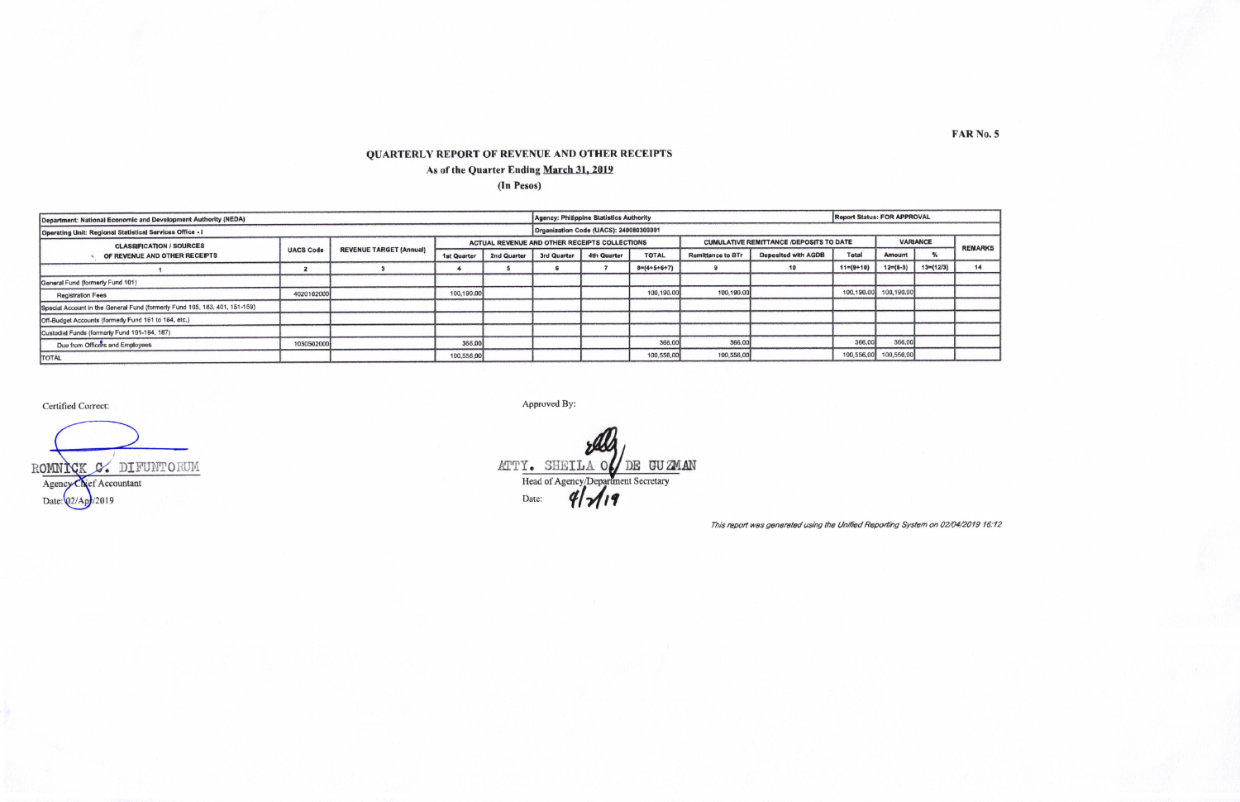## QUARTERLY REPORT OF REVENUE AND OTHER RECEIPTS As of the Quarter Ending March 31, 2019 (In Pesos)

| Department: National Economic and Development Authority (NEDA)             |                  |                                |             |             | Agency: Philippine Statistics Authority       |                                        |               |                                                |                            | <b>Report Status: FOR APPROVAL</b> |               |                |    |  |
|----------------------------------------------------------------------------|------------------|--------------------------------|-------------|-------------|-----------------------------------------------|----------------------------------------|---------------|------------------------------------------------|----------------------------|------------------------------------|---------------|----------------|----|--|
| <b>Operating Unit: Regional Statistical Services Office - I</b>            |                  |                                |             |             |                                               | Organization Code (UACS): 240080300001 |               |                                                |                            |                                    |               |                |    |  |
| <b>CLASSIFICATION / SOURCES</b><br>OF REVENUE AND OTHER RECEIPTS           | <b>UACS Code</b> | <b>REVENUE TARGET (Annual)</b> |             |             | ACTUAL REVENUE AND OTHER RECEIPTS COLLECTIONS |                                        |               | <b>CUMULATIVE REMITTANCE /DEPOSITS TO DATE</b> | <b>VARIANCE</b>            |                                    |               | <b>REMARKS</b> |    |  |
|                                                                            |                  |                                | 1st Quarter | 2nd Quarter | 3rd Quarter                                   | 4th Quarter                            | <b>TOTAL</b>  | <b>Remittance to BTr</b>                       | <b>Deposited with AGDB</b> | Total                              | <b>Amount</b> |                |    |  |
|                                                                            |                  |                                |             |             |                                               |                                        | $8=(4+5+6+7)$ |                                                | 10                         | $11=(9+10)$                        | $12=(8-3)$    | $13=(12/3)$    | 14 |  |
| General Fund (formerly Fund 101)                                           |                  |                                |             |             |                                               |                                        |               |                                                |                            |                                    |               |                |    |  |
| <b>Registration Fees</b>                                                   | 4020102000       |                                | 100,190.00  |             |                                               |                                        | 100,190.00    | 100,190.00                                     |                            | 100,190.00                         | 100,190.00    |                |    |  |
| Special Account in the General Fund (formerly Fund 105, 183, 401, 151-159) |                  |                                |             |             |                                               |                                        |               |                                                |                            |                                    |               |                |    |  |
| Off-Budget Accounts (formerly Fund 161 to 164, etc.)                       |                  |                                |             |             |                                               |                                        |               |                                                |                            |                                    |               |                |    |  |
| Custodial Funds (formerly Fund 101-184, 187)                               |                  |                                |             |             |                                               |                                        |               |                                                |                            |                                    |               |                |    |  |
| Due from Officers and Employees                                            | 103050200        |                                | 366,00      |             |                                               |                                        | 366,00        | 366.0                                          |                            | 366,00                             | 366.00        |                |    |  |
| <b>TOTAL</b>                                                               |                  |                                | 100,556,00  |             |                                               |                                        | 100,556,00    | 100,556,00                                     |                            | 100,556,00                         | 100,556,00    |                |    |  |

Certified Correct:

ROMNICK C. DIFUNTORUM Agency Chief Accountant Date: 02/Apr/2019

Approved By:

ATTY. SHEILA O DE GUZMAN Head of Agency/Department Secretary<br>Date: 4/19

This report was generated using the Unified Reporting System on 02/04/2019 16:12

**FAR No. 5**